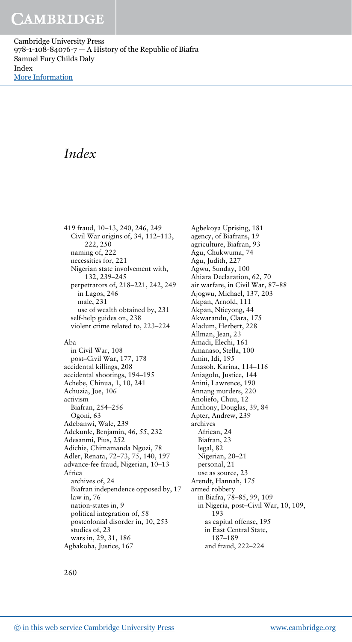Cambridge University Press  $978-1-108-84076-7$  – A History of the Republic of Biafra Samuel Fury Childs Daly Index [More Information](www.cambridge.org/9781108840767)

# Index

419 fraud, 10–13, 240, 246, 249 Civil War origins of, 34, 112–113, 222, 250 naming of, 222 necessities for, 221 Nigerian state involvement with, 132, 239–245 perpetrators of, 218–221, 242, 249 in Lagos, 246 male, 231 use of wealth obtained by, 231 self-help guides on, 238 violent crime related to, 223–224 Aba in Civil War, 108 post–Civil War, 177, 178 accidental killings, 208 accidental shootings, 194–195 Achebe, Chinua, 1, 10, 241 Achuzia, Joe, 106 activism Biafran, 254–256 Ogoni, 63 Adebanwi, Wale, 239 Adekunle, Benjamin, 46, 55, 232 Adesanmi, Pius, 252 Adichie, Chimamanda Ngozi, 78 Adler, Renata, 72–73, 75, 140, 197 advance-fee fraud, Nigerian, 10–13 Africa archives of, 24

Biafran independence opposed by, 17 law in, 76 nation-states in, 9 political integration of, 58 postcolonial disorder in, 10, 253 studies of, 23 wars in, 29, 31, 186 Agbakoba, Justice, 167

Agbekoya Uprising, 181 agency, of Biafrans, 19 agriculture, Biafran, 93 Agu, Chukwuma, 74 Agu, Judith, 227 Agwu, Sunday, 100 Ahiara Declaration, 62, 70 air warfare, in Civil War, 87–88 Ajogwu, Michael, 137, 203 Akpan, Arnold, 111 Akpan, Ntieyong, 44 Akwarandu, Clara, 175 Aladum, Herbert, 228 Allman, Jean, 23 Amadi, Elechi, 161 Amanaso, Stella, 100 Amin, Idi, 195 Anasoh, Karina, 114–116 Aniagolu, Justice, 144 Anini, Lawrence, 190 Annang murders, 220 Anoliefo, Chuu, 12 Anthony, Douglas, 39, 84 Apter, Andrew, 239 archives African, 24 Biafran, 23 legal, 82 Nigerian, 20–21 personal, 21 use as source, 23 Arendt, Hannah, 175 armed robbery in Biafra, 78–85, 99, 109 in Nigeria, post–Civil War, 10, 109, 193 as capital offense, 195 in East Central State, 187–189 and fraud, 222–224

260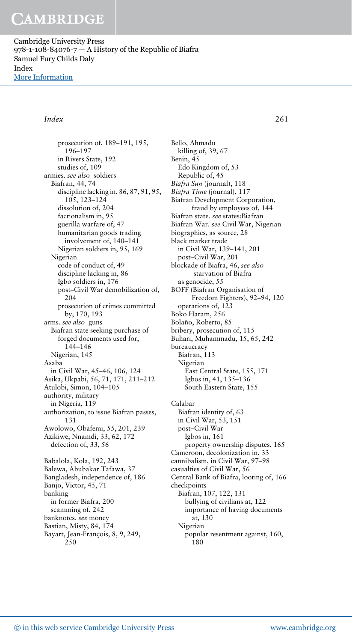Cambridge University Press  $978-1-108-84076-7$  – A History of the Republic of Biafra Samuel Fury Childs Daly Index [More Information](www.cambridge.org/9781108840767)

### Index 261

prosecution of, 189–191, 195, 196–197 in Rivers State, 192 studies of, 109 armies. see also soldiers Biafran, 44, 74 discipline lacking in, 86, 87, 91, 95, 105, 123–124 dissolution of, 204 factionalism in, 95 guerilla warfare of, 47 humanitarian goods trading involvement of, 140–141 Nigerian soldiers in, 95, 169 Nigerian code of conduct of, 49 discipline lacking in, 86 Igbo soldiers in, 176 post–Civil War demobilization of, 204 prosecution of crimes committed by, 170, 193 arms. see also guns Biafran state seeking purchase of forged documents used for, 144–146 Nigerian, 145 Asaba in Civil War, 45–46, 106, 124 Asika, Ukpabi, 56, 71, 171, 211–212 Atulobi, Simon, 104–105 authority, military in Nigeria, 119 authorization, to issue Biafran passes, 131 Awolowo, Obafemi, 55, 201, 239 Azikiwe, Nnamdi, 33, 62, 172 defection of, 33, 56 Babalola, Kola, 192, 243 Balewa, Abubakar Tafawa, 37 Bangladesh, independence of, 186 Banjo, Victor, 45, 71 banking in former Biafra, 200 scamming of, 242 banknotes. see money Bastian, Misty, 84, 174 Bayart, Jean-François, 8, 9, 249, 250

Bello, Ahmadu killing of, 39, 67 Benin, 45 Edo Kingdom of, 53 Republic of, 45 Biafra Sun (journal), 118 Biafra Time (journal), 117 Biafran Development Corporation, fraud by employees of, 144 Biafran state. see states:Biafran Biafran War. see Civil War, Nigerian biographies, as source, 28 black market trade in Civil War, 139–141, 201 post–Civil War, 201 blockade of Biafra, 46, see also starvation of Biafra as genocide, 55 BOFF (Biafran Organisation of Freedom Fighters), 92–94, 120 operations of, 123 Boko Haram, 256 Bolaño, Roberto, 85 bribery, prosecution of, 115 Buhari, Muhammadu, 15, 65, 242 bureaucracy Biafran, 113 Nigerian East Central State, 155, 171 Igbos in, 41, 135–136 South Eastern State, 155 Calabar Biafran identity of, 63 in Civil War, 53, 151 post–Civil War Igbos in, 161 property ownership disputes, 165 Cameroon, decolonization in, 33 cannibalism, in Civil War, 97–98 casualties of Civil War, 56 Central Bank of Biafra, looting of, 166 checkpoints Biafran, 107, 122, 131 bullying of civilians at, 122 importance of having documents at, 130 Nigerian popular resentment against, 160, 180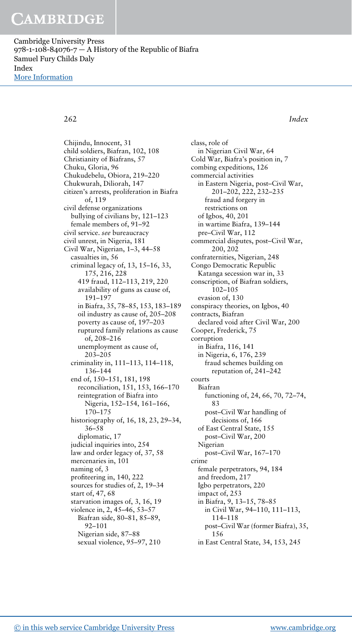Cambridge University Press  $978-1-108-84076-7$  – A History of the Republic of Biafra Samuel Fury Childs Daly Index [More Information](www.cambridge.org/9781108840767)

262 Index

Chijindu, Innocent, 31 child soldiers, Biafran, 102, 108 Christianity of Biafrans, 57 Chuku, Gloria, 96 Chukudebelu, Obiora, 219–220 Chukwurah, Diliorah, 147 citizen's arrests, proliferation in Biafra of, 119 civil defense organizations bullying of civilians by, 121–123 female members of, 91–92 civil service. see bureaucracy civil unrest, in Nigeria, 181 Civil War, Nigerian, 1–3, 44–58 casualties in, 56 criminal legacy of, 13, 15–16, 33, 175, 216, 228 419 fraud, 112–113, 219, 220 availability of guns as cause of, 191–197 in Biafra, 35, 78–85, 153, 183–189 oil industry as cause of, 205–208 poverty as cause of, 197–203 ruptured family relations as cause of, 208–216 unemployment as cause of, 203–205 criminality in, 111–113, 114–118, 136–144 end of, 150–151, 181, 198 reconciliation, 151, 153, 166–170 reintegration of Biafra into Nigeria, 152–154, 161–166, 170–175 historiography of, 16, 18, 23, 29–34, 36–58 diplomatic, 17 judicial inquiries into, 254 law and order legacy of, 37, 58 mercenaries in, 101 naming of, 3 profiteering in, 140, 222 sources for studies of, 2, 19–34 start of, 47, 68 starvation images of, 3, 16, 19 violence in, 2, 45–46, 53–57 Biafran side, 80–81, 85–89, 92–101 Nigerian side, 87–88 sexual violence, 95–97, 210

class, role of in Nigerian Civil War, 64 Cold War, Biafra's position in, 7 combing expeditions, 126 commercial activities in Eastern Nigeria, post–Civil War, 201–202, 222, 232–235 fraud and forgery in restrictions on of Igbos, 40, 201 in wartime Biafra, 139–144 pre–Civil War, 112 commercial disputes, post–Civil War, 200, 202 confraternities, Nigerian, 248 Congo Democratic Republic Katanga secession war in, 33 conscription, of Biafran soldiers,  $102 - 105$ evasion of, 130 conspiracy theories, on Igbos, 40 contracts, Biafran declared void after Civil War, 200 Cooper, Frederick, 75 corruption in Biafra, 116, 141 in Nigeria, 6, 176, 239 fraud schemes building on reputation of, 241–242 courts Biafran functioning of, 24, 66, 70, 72–74, 83 post–Civil War handling of decisions of, 166 of East Central State, 155 post–Civil War, 200 Nigerian post–Civil War, 167–170 crime female perpetrators, 94, 184 and freedom, 217 Igbo perpetrators, 220 impact of, 253 in Biafra, 9, 13–15, 78–85 in Civil War, 94–110, 111–113, 114–118 post–Civil War (former Biafra), 35, 156 in East Central State, 34, 153, 245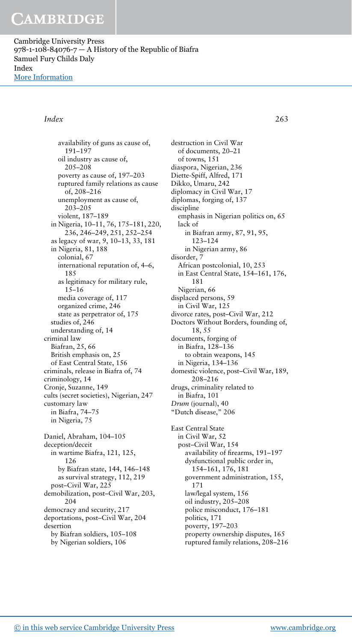Cambridge University Press  $978-1-108-84076-7$  – A History of the Republic of Biafra Samuel Fury Childs Daly Index [More Information](www.cambridge.org/9781108840767)

### Index 263

availability of guns as cause of, 191–197 oil industry as cause of, 205–208 poverty as cause of, 197–203 ruptured family relations as cause of, 208–216 unemployment as cause of, 203–205 violent, 187–189 in Nigeria, 10–11, 76, 175–181, 220, 236, 246–249, 251, 252–254 as legacy of war, 9, 10–13, 33, 181 in Nigeria, 81, 188 colonial, 67 international reputation of, 4–6, 185 as legitimacy for military rule, 15–16 media coverage of, 117 organized crime, 246 state as perpetrator of, 175 studies of, 246 understanding of, 14 criminal law Biafran, 25, 66 British emphasis on, 25 of East Central State, 156 criminals, release in Biafra of, 74 criminology, 14 Cronje, Suzanne, 149 cults (secret societies), Nigerian, 247 customary law in Biafra, 74–75 in Nigeria, 75 Daniel, Abraham, 104–105 deception/deceit in wartime Biafra, 121, 125, 126 by Biafran state, 144, 146–148 as survival strategy, 112, 219 post–Civil War, 225 demobilization, post–Civil War, 203, 204 democracy and security, 217 deportations, post–Civil War, 204

destruction in Civil War of documents, 20–21 of towns, 151 diaspora, Nigerian, 236 Diette-Spiff, Alfred, 171 Dikko, Umaru, 242 diplomacy in Civil War, 17 diplomas, forging of, 137 discipline emphasis in Nigerian politics on, 65 lack of in Biafran army, 87, 91, 95, 123–124 in Nigerian army, 86 disorder, 7 African postcolonial, 10, 253 in East Central State, 154–161, 176, 181 Nigerian, 66 displaced persons, 59 in Civil War, 125 divorce rates, post–Civil War, 212 Doctors Without Borders, founding of, 18, 55 documents, forging of in Biafra, 128–136 to obtain weapons, 145 in Nigeria, 134–136 domestic violence, post–Civil War, 189, 208–216 drugs, criminality related to in Biafra, 101 Drum (journal), 40 "Dutch disease," 206 East Central State in Civil War, 52 post–Civil War, 154 availability of firearms, 191–197 dysfunctional public order in, 154–161, 176, 181 government administration, 155, 171 law/legal system, 156 oil industry, 205–208 police misconduct, 176–181 politics, 171 poverty, 197–203 property ownership disputes, 165 ruptured family relations, 208–216

by Biafran soldiers, 105–108 by Nigerian soldiers, 106

desertion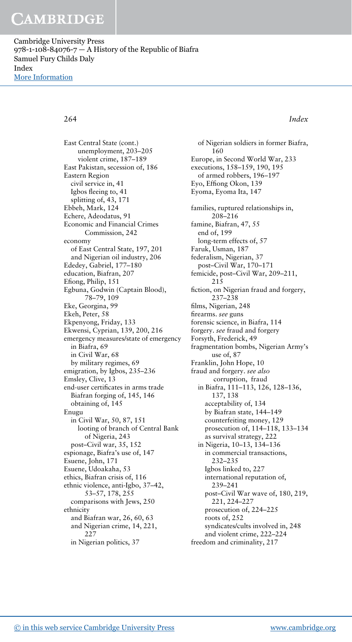Cambridge University Press  $978-1-108-84076-7$  – A History of the Republic of Biafra Samuel Fury Childs Daly Index [More Information](www.cambridge.org/9781108840767)

### 264 Index

East Central State (cont.) unemployment, 203–205 violent crime, 187–189 East Pakistan, secession of, 186 Eastern Region civil service in, 41 Igbos fleeing to, 41 splitting of, 43, 171 Ebbeh, Mark, 124 Echere, Adeodatus, 91 Economic and Financial Crimes Commission, 242 economy of East Central State, 197, 201 and Nigerian oil industry, 206 Ededey, Gabriel, 177–180 education, Biafran, 207 Efiong, Philip, 151 Egbuna, Godwin (Captain Blood), 78–79, 109 Eke, Georgina, 99 Ekeh, Peter, 58 Ekpenyong, Friday, 133 Ekwensi, Cyprian, 139, 200, 216 emergency measures/state of emergency in Biafra, 69 in Civil War, 68 by military regimes, 69 emigration, by Igbos, 235–236 Emsley, Clive, 13 end-user certificates in arms trade Biafran forging of, 145, 146 obtaining of, 145 Enugu in Civil War, 50, 87, 151 looting of branch of Central Bank of Nigeria, 243 post–Civil war, 35, 152 espionage, Biafra's use of, 147 Esuene, John, 171 Esuene, Udoakaha, 53 ethics, Biafran crisis of, 116 ethnic violence, anti-Igbo, 37–42, 53–57, 178, 255 comparisons with Jews, 250 ethnicity and Biafran war, 26, 60, 63 and Nigerian crime, 14, 221, 227 in Nigerian politics, 37

of Nigerian soldiers in former Biafra, 160 Europe, in Second World War, 233 executions, 158–159, 190, 195 of armed robbers, 196–197 Eyo, Effiong Okon, 139 Eyoma, Eyoma Ita, 147 families, ruptured relationships in, 208–216 famine, Biafran, 47, 55 end of, 199 long-term effects of, 57 Faruk, Usman, 187 federalism, Nigerian, 37 post–Civil War, 170–171 femicide, post–Civil War, 209–211, 215 fiction, on Nigerian fraud and forgery, 237–238 films, Nigerian, 248 firearms. see guns forensic science, in Biafra, 114 forgery. see fraud and forgery Forsyth, Frederick, 49 fragmentation bombs, Nigerian Army's use of, 87 Franklin, John Hope, 10 fraud and forgery. see also corruption, fraud in Biafra, 111–113, 126, 128–136, 137, 138 acceptability of, 134 by Biafran state, 144–149 counterfeiting money, 129 prosecution of, 114–118, 133–134 as survival strategy, 222 in Nigeria, 10–13, 134–136 in commercial transactions, 232–235 Igbos linked to, 227 international reputation of, 239–241 post–Civil War wave of, 180, 219, 221, 224–227 prosecution of, 224–225 roots of, 252 syndicates/cults involved in, 248 and violent crime, 222–224 freedom and criminality, 217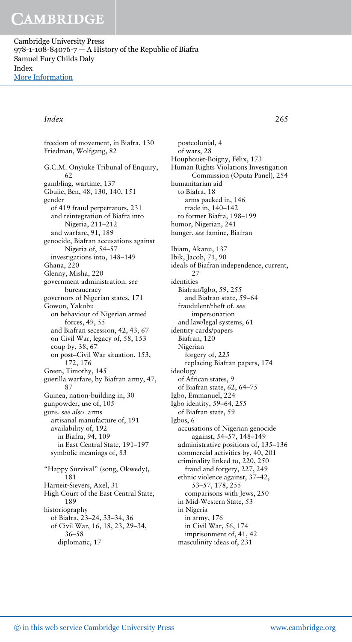Cambridge University Press  $978-1-108-84076-7$  – A History of the Republic of Biafra Samuel Fury Childs Daly Index [More Information](www.cambridge.org/9781108840767)

### Index 265

freedom of movement, in Biafra, 130 Friedman, Wolfgang, 82 G.C.M. Onyiuke Tribunal of Enquiry, 62 gambling, wartime, 137 Gbulie, Ben, 48, 130, 140, 151 gender of 419 fraud perpetrators, 231 and reintegration of Biafra into Nigeria, 211–212 and warfare, 91, 189 genocide, Biafran accusations against Nigeria of, 54–57 investigations into, 148–149 Ghana, 220 Glenny, Misha, 220 government administration. see bureaucracy governors of Nigerian states, 171 Gowon, Yakubu on behaviour of Nigerian armed forces, 49, 55 and Biafran secession, 42, 43, 67 on Civil War, legacy of, 58, 153 coup by, 38, 67 on post–Civil War situation, 153, 172, 176 Green, Timothy, 145 guerilla warfare, by Biafran army, 47, 87 Guinea, nation-building in, 30 gunpowder, use of, 105 guns. see also arms artisanal manufacture of, 191 availability of, 192 in Biafra, 94, 109 in East Central State, 191–197 symbolic meanings of, 83 "Happy Survival" (song, Okwedy), 181 Harneit-Sievers, Axel, 31 High Court of the East Central State, 189 historiography of Biafra, 23–24, 33–34, 36 of Civil War, 16, 18, 23, 29–34, 36–58 diplomatic, 17

postcolonial, 4 of wars, 28 Houphouët-Boigny, Félix, 173 Human Rights Violations Investigation Commission (Oputa Panel), 254 humanitarian aid to Biafra, 18 arms packed in, 146 trade in, 140–142 to former Biafra, 198–199 humor, Nigerian, 241 hunger. see famine, Biafran Ibiam, Akanu, 137 Ibik, Jacob, 71, 90 ideals of Biafran independence, current, 27 identities Biafran/Igbo, 59, 255 and Biafran state, 59–64 fraudulent/theft of. see impersonation and law/legal systems, 61 identity cards/papers Biafran, 120 Nigerian forgery of, 225 replacing Biafran papers, 174 ideology of African states, 9 of Biafran state, 62, 64–75 Igbo, Emmanuel, 224 Igbo identity, 59–64, 255 of Biafran state, 59 Igbos, 6 accusations of Nigerian genocide against, 54–57, 148–149 administrative positions of, 135–136 commercial activities by, 40, 201 criminality linked to, 220, 250 fraud and forgery, 227, 249 ethnic violence against, 37–42, 53–57, 178, 255 comparisons with Jews, 250 in Mid-Western State, 53 in Nigeria in army, 176 in Civil War, 56, 174 imprisonment of, 41, 42 masculinity ideas of, 231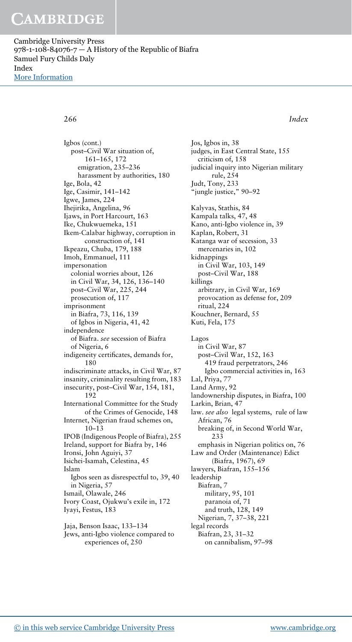Cambridge University Press  $978-1-108-84076-7$  – A History of the Republic of Biafra Samuel Fury Childs Daly Index [More Information](www.cambridge.org/9781108840767)

266 Index

Igbos (cont.) post–Civil War situation of, 161–165, 172 emigration, 235–236 harassment by authorities, 180 Ige, Bola, 42 Ige, Casimir, 141–142 Igwe, James, 224 Ihejirika, Angelina, 96 Ijaws, in Port Harcourt, 163 Ike, Chukwuemeka, 151 Ikem-Calabar highway, corruption in construction of, 141 Ikpeazu, Chuba, 179, 188 Imoh, Emmanuel, 111 impersonation colonial worries about, 126 in Civil War, 34, 126, 136–140 post–Civil War, 225, 244 prosecution of, 117 imprisonment in Biafra, 73, 116, 139 of Igbos in Nigeria, 41, 42 independence of Biafra. see secession of Biafra of Nigeria, 6 indigeneity certificates, demands for, 180 indiscriminate attacks, in Civil War, 87 insanity, criminality resulting from, 183 insecurity, post–Civil War, 154, 181, 192 International Committee for the Study of the Crimes of Genocide, 148 Internet, Nigerian fraud schemes on, 10–13 IPOB (Indigenous People of Biafra), 255 Ireland, support for Biafra by, 146 Ironsi, John Aguiyi, 37 Isichei-Isamah, Celestina, 45 Islam Igbos seen as disrespectful to, 39, 40 in Nigeria, 57 Ismail, Olawale, 246 Ivory Coast, Ojukwu's exile in, 172 Iyayi, Festus, 183 Jaja, Benson Isaac, 133–134

Jews, anti-Igbo violence compared to experiences of, 250

Jos, Igbos in, 38 judges, in East Central State, 155 criticism of, 158 judicial inquiry into Nigerian military rule, 254 Judt, Tony, 233 "jungle justice," 90–92 Kalyvas, Stathis, 84 Kampala talks, 47, 48 Kano, anti-Igbo violence in, 39 Kaplan, Robert, 31 Katanga war of secession, 33 mercenaries in, 102 kidnappings in Civil War, 103, 149 post–Civil War, 188 killings arbitrary, in Civil War, 169 provocation as defense for, 209 ritual, 224 Kouchner, Bernard, 55 Kuti, Fela, 175 Lagos in Civil War, 87 post–Civil War, 152, 163 419 fraud perpetrators, 246 Igbo commercial activities in, 163 Lal, Priya, 77 Land Army, 92 landownership disputes, in Biafra, 100 Larkin, Brian, 47 law. see also legal systems, rule of law African, 76 breaking of, in Second World War, 233 emphasis in Nigerian politics on, 76 Law and Order (Maintenance) Edict (Biafra, 1967), 69 lawyers, Biafran, 155–156 leadership Biafran, 7 military, 95, 101 paranoia of, 71 and truth, 128, 149 Nigerian, 7, 37–38, 221 legal records Biafran, 23, 31–32 on cannibalism, 97–98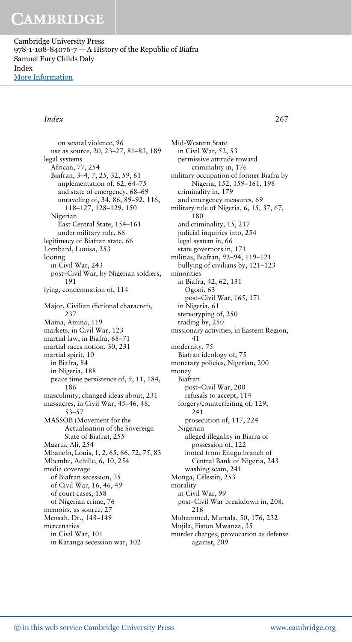Cambridge University Press  $978-1-108-84076-7$  – A History of the Republic of Biafra Samuel Fury Childs Daly Index [More Information](www.cambridge.org/9781108840767)

### Index 267

on sexual violence, 96 use as source, 20, 23–27, 81–83, 189 legal systems African, 77, 254 Biafran, 3–4, 7, 25, 32, 59, 61 implementation of, 62, 64–75 and state of emergency, 68–69 unraveling of, 34, 86, 89–92, 116, 118–127, 128–129, 150 Nigerian East Central State, 154–161 under military rule, 66 legitimacy of Biafran state, 66 Lombard, Louisa, 253 looting in Civil War, 243 post–Civil War, by Nigerian soldiers, 191 lying, condemnation of, 114 Major, Civilian (fictional character), 237 Mama, Amina, 119 markets, in Civil War, 123 martial law, in Biafra, 68–71 martial races notion, 30, 231 martial spirit, 10 in Biafra, 84 in Nigeria, 188 peace time persistence of, 9, 11, 184, 186 masculinity, changed ideas about, 231 massacres, in Civil War, 45–46, 48, 53–57 MASSOB (Movement for the Actualisation of the Sovereign State of Biafra), 255 Mazrui, Ali, 254 Mbanefo, Louis, 1, 2, 65, 66, 72, 75, 83 Mbembe, Achille, 6, 10, 254 media coverage of Biafran secession, 35 of Civil War, 16, 46, 49 of court cases, 158 of Nigerian crime, 76 memoirs, as source, 27 Mensah, Dr., 148–149 mercenaries in Civil War, 101 in Katanga secession war, 102

Mid-Western State in Civil War, 52, 53 permissive attitude toward criminality in, 176 military occupation of former Biafra by Nigeria, 152, 159–161, 198 criminality in, 179 and emergency measures, 69 military rule of Nigeria, 6, 15, 37, 67, 180 and criminality, 15, 217 judicial inquiries into, 254 legal system in, 66 state governors in, 171 militias, Biafran, 92–94, 119–121 bullying of civilians by, 121–123 minorities in Biafra, 42, 62, 131 Ogoni, 63 post–Civil War, 165, 171 in Nigeria, 61 stereotyping of, 250 trading by, 250 missionary activities, in Eastern Region, 41 modernity, 75 Biafran ideology of, 75 monetary policies, Nigerian, 200 money Biafran post–Civil War, 200 refusals to accept, 114 forgery/counterfeiting of, 129, 241 prosecution of, 117, 224 Nigerian alleged illegality in Biafra of possession of, 122 looted from Enugu branch of Central Bank of Nigeria, 243 washing scam, 241 Monga, Célestin, 253 morality in Civil War, 99 post–Civil War breakdown in, 208, 216 Muhammed, Murtala, 50, 176, 232 Mujila, Fiston Mwanza, 35 murder charges, provocation as defense against, 209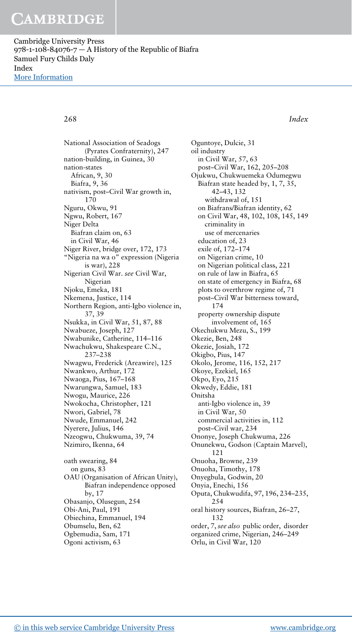Cambridge University Press  $978-1-108-84076-7$  – A History of the Republic of Biafra Samuel Fury Childs Daly Index [More Information](www.cambridge.org/9781108840767)

268 Index

National Association of Seadogs (Pyrates Confraternity), 247 nation-building, in Guinea, 30 nation-states African, 9, 30 Biafra, 9, 36 nativism, post–Civil War growth in, 170 Nguru, Okwu, 91 Ngwu, Robert, 167 Niger Delta Biafran claim on, 63 in Civil War, 46 Niger River, bridge over, 172, 173 "Nigeria na wa o" expression (Nigeria is war), 228 Nigerian Civil War. see Civil War, Nigerian Njoku, Emeka, 181 Nkemena, Justice, 114 Northern Region, anti-Igbo violence in, 37, 39 Nsukka, in Civil War, 51, 87, 88 Nwabueze, Joseph, 127 Nwabunike, Catherine, 114–116 Nwachukwu, Shakespeare C.N., 237–238 Nwagwu, Frederick (Areawire), 125 Nwankwo, Arthur, 172 Nwaoga, Pius, 167–168 Nwarungwa, Samuel, 183 Nwogu, Maurice, 226 Nwokocha, Christopher, 121 Nwori, Gabriel, 78 Nwude, Emmanuel, 242 Nyerere, Julius, 146 Nzeogwu, Chukwuma, 39, 74 Nzimiro, Ikenna, 64 oath swearing, 84 on guns, 83 OAU (Organisation of African Unity), Biafran independence opposed by, 17 Obasanjo, Olusegun, 254 Obi-Ani, Paul, 191 Obiechina, Emmanuel, 194 Obumselu, Ben, 62 Ogbemudia, Sam, 171 Ogoni activism, 63

Oguntoye, Dulcie, 31 oil industry in Civil War, 57, 63 post–Civil War, 162, 205–208 Ojukwu, Chukwuemeka Odumegwu Biafran state headed by, 1, 7, 35, 42–43, 132 withdrawal of, 151 on Biafrans/Biafran identity, 62 on Civil War, 48, 102, 108, 145, 149 criminality in use of mercenaries education of, 23 exile of, 172–174 on Nigerian crime, 10 on Nigerian political class, 221 on rule of law in Biafra, 65 on state of emergency in Biafra, 68 plots to overthrow regime of, 71 post–Civil War bitterness toward, 174 property ownership dispute involvement of, 165 Okechukwu Mezu, S., 199 Okezie, Ben, 248 Okezie, Josiah, 172 Okigbo, Pius, 147 Okolo, Jerome, 116, 152, 217 Okoye, Ezekiel, 165 Okpo, Eyo, 215 Okwedy, Eddie, 181 Onitsha anti-Igbo violence in, 39 in Civil War, 50 commercial activities in, 112 post–Civil war, 234 Ononye, Joseph Chukwuma, 226 Onunekwu, Godson (Captain Marvel), 121 Onuoha, Browne, 239 Onuoha, Timothy, 178 Onyegbula, Godwin, 20 Onyia, Enechi, 156 Oputa, Chukwudifa, 97, 196, 234–235, 254 oral history sources, Biafran, 26–27, 132 order, 7, see also public order, disorder organized crime, Nigerian, 246–249 Orlu, in Civil War, 120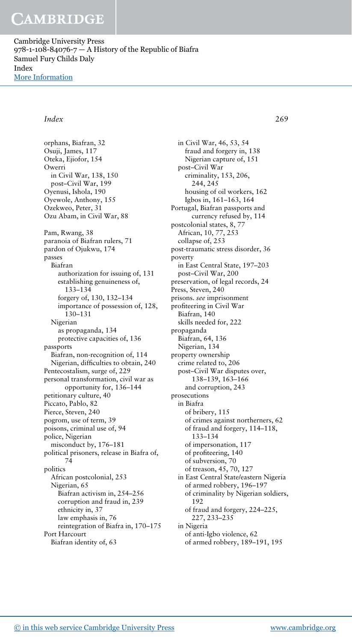Cambridge University Press  $978-1-108-84076-7$  – A History of the Republic of Biafra Samuel Fury Childs Daly Index [More Information](www.cambridge.org/9781108840767)

### Index 269

orphans, Biafran, 32 Osuji, James, 117 Oteka, Ejiofor, 154 Owerri in Civil War, 138, 150 post–Civil War, 199 Oyenusi, Ishola, 190 Oyewole, Anthony, 155 Ozekweo, Peter, 31 Ozu Abam, in Civil War, 88 Pam, Rwang, 38 paranoia of Biafran rulers, 71 pardon of Ojukwu, 174 passes Biafran authorization for issuing of, 131 establishing genuineness of, 133–134 forgery of, 130, 132–134 importance of possession of, 128, 130–131 Nigerian as propaganda, 134 protective capacities of, 136 passports Biafran, non-recognition of, 114 Nigerian, difficulties to obtain, 240 Pentecostalism, surge of, 229 personal transformation, civil war as opportunity for, 136–144 petitionary culture, 40 Piccato, Pablo, 82 Pierce, Steven, 240 pogrom, use of term, 39 poisons, criminal use of, 94 police, Nigerian misconduct by, 176–181 political prisoners, release in Biafra of, 74 politics African postcolonial, 253 Nigerian, 65 Biafran activism in, 254–256 corruption and fraud in, 239 ethnicity in, 37 law emphasis in, 76 reintegration of Biafra in, 170–175 Port Harcourt Biafran identity of, 63

in Civil War, 46, 53, 54 fraud and forgery in, 138 Nigerian capture of, 151 post–Civil War criminality, 153, 206, 244, 245 housing of oil workers, 162 Igbos in, 161–163, 164 Portugal, Biafran passports and currency refused by, 114 postcolonial states, 8, 77 African, 10, 77, 253 collapse of, 253 post-traumatic stress disorder, 36 poverty in East Central State, 197–203 post–Civil War, 200 preservation, of legal records, 24 Press, Steven, 240 prisons. see imprisonment profiteering in Civil War Biafran, 140 skills needed for, 222 propaganda Biafran, 64, 136 Nigerian, 134 property ownership crime related to, 206 post–Civil War disputes over, 138–139, 163–166 and corruption, 243 prosecutions in Biafra of bribery, 115 of crimes against northerners, 62 of fraud and forgery, 114–118, 133–134 of impersonation, 117 of profiteering, 140 of subversion, 70 of treason, 45, 70, 127 in East Central State/eastern Nigeria of armed robbery, 196–197 of criminality by Nigerian soldiers, 192 of fraud and forgery, 224–225, 227, 233–235 in Nigeria of anti-Igbo violence, 62

of armed robbery, 189–191, 195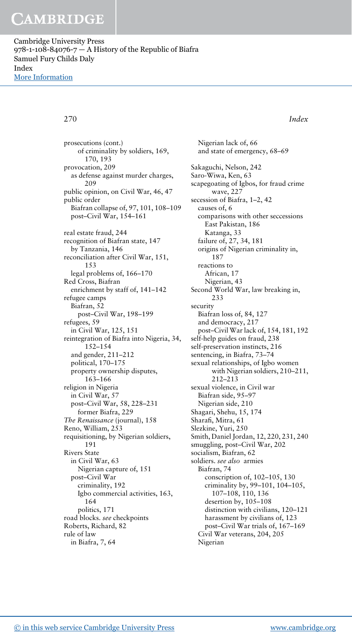Cambridge University Press  $978-1-108-84076-7$  – A History of the Republic of Biafra Samuel Fury Childs Daly Index [More Information](www.cambridge.org/9781108840767)

270 Index

prosecutions (cont.) of criminality by soldiers, 169, 170, 193 provocation, 209 as defense against murder charges,  $209$ public opinion, on Civil War, 46, 47 public order Biafran collapse of, 97, 101, 108–109 post–Civil War, 154–161 real estate fraud, 244 recognition of Biafran state, 147 by Tanzania, 146 reconciliation after Civil War, 151, 153 legal problems of, 166–170 Red Cross, Biafran enrichment by staff of, 141–142 refugee camps Biafran, 52 post–Civil War, 198–199 refugees, 59 in Civil War, 125, 151 reintegration of Biafra into Nigeria, 34, 152–154 and gender, 211–212 political, 170–175 property ownership disputes, 163–166 religion in Nigeria in Civil War, 57 post–Civil War, 58, 228–231 former Biafra, 229 The Renaissance (journal), 158 Reno, William, 253 requisitioning, by Nigerian soldiers, 191 Rivers State in Civil War, 63 Nigerian capture of, 151 post–Civil War criminality, 192 Igbo commercial activities, 163, 164 politics, 171 road blocks. see checkpoints Roberts, Richard, 82 rule of law in Biafra, 7, 64

and state of emergency, 68–69 Sakaguchi, Nelson, 242 Saro-Wiwa, Ken, 63 scapegoating of Igbos, for fraud crime wave, 227 secession of Biafra, 1–2, 42 causes of, 6 comparisons with other seccessions East Pakistan, 186 Katanga, 33 failure of, 27, 34, 181 origins of Nigerian criminality in, 187 reactions to African, 17 Nigerian, 43 Second World War, law breaking in, 233 security Biafran loss of, 84, 127 and democracy, 217 post–Civil War lack of, 154, 181, 192 self-help guides on fraud, 238 self-preservation instincts, 216 sentencing, in Biafra, 73–74 sexual relationships, of Igbo women with Nigerian soldiers, 210–211, 212–213 sexual violence, in Civil war Biafran side, 95–97 Nigerian side, 210 Shagari, Shehu, 15, 174 Sharafi, Mitra, 61 Slezkine, Yuri, 250 Smith, Daniel Jordan, 12, 220, 231, 240 smuggling, post–Civil War, 202 socialism, Biafran, 62 soldiers. see also armies Biafran, 74 conscription of, 102–105, 130 criminality by, 99–101, 104–105, 107–108, 110, 136 desertion by, 105–108 distinction with civilians, 120–121 harassment by civilians of, 123 post–Civil War trials of, 167–169 Civil War veterans, 204, 205 Nigerian

Nigerian lack of, 66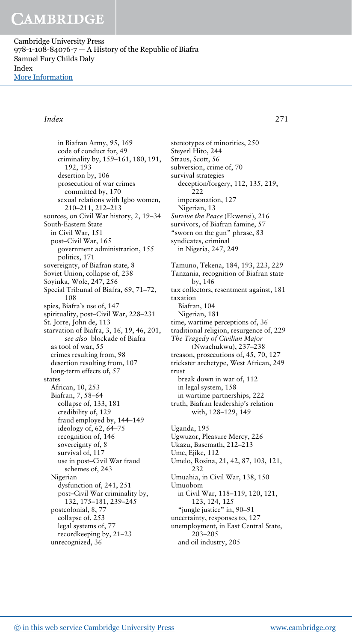Cambridge University Press  $978-1-108-84076-7$  – A History of the Republic of Biafra Samuel Fury Childs Daly Index [More Information](www.cambridge.org/9781108840767)

### Index 271

in Biafran Army, 95, 169 code of conduct for, 49 criminality by, 159–161, 180, 191, 192, 193 desertion by, 106 prosecution of war crimes committed by, 170 sexual relations with Igbo women, 210–211, 212–213 sources, on Civil War history, 2, 19–34 South-Eastern State in Civil War, 151 post–Civil War, 165 government administration, 155 politics, 171 sovereignty, of Biafran state, 8 Soviet Union, collapse of, 238 Soyinka, Wole, 247, 256 Special Tribunal of Biafra, 69, 71–72, 108 spies, Biafra's use of, 147 spirituality, post–Civil War, 228–231 St. Jorre, John de, 113 starvation of Biafra, 3, 16, 19, 46, 201, see also blockade of Biafra as tool of war, 55 crimes resulting from, 98 desertion resulting from, 107 long-term effects of, 57 states African, 10, 253 Biafran, 7, 58–64 collapse of, 133, 181 credibility of, 129 fraud employed by, 144–149 ideology of, 62, 64–75 recognition of, 146 sovereignty of, 8 survival of, 117 use in post–Civil War fraud schemes of, 243 Nigerian dysfunction of, 241, 251 post–Civil War criminality by, 132, 175–181, 239–245 postcolonial, 8, 77 collapse of, 253 legal systems of, 77 recordkeeping by, 21–23 unrecognized, 36

stereotypes of minorities, 250 Steyerl Hito, 244 Straus, Scott, 56 subversion, crime of, 70 survival strategies deception/forgery, 112, 135, 219, 222 impersonation, 127 Nigerian, 13 Survive the Peace (Ekwensi), 216 survivors, of Biafran famine, 57 "sworn on the gun" phrase, 83 syndicates, criminal in Nigeria, 247, 249 Tamuno, Tekena, 184, 193, 223, 229 Tanzania, recognition of Biafran state by, 146 tax collectors, resentment against, 181 taxation Biafran, 104 Nigerian, 181 time, wartime perceptions of, 36 traditional religion, resurgence of, 229 The Tragedy of Civilian Major (Nwachukwu), 237–238 treason, prosecutions of, 45, 70, 127 trickster archetype, West African, 249 trust break down in war of, 112 in legal system, 158 in wartime partnerships, 222 truth, Biafran leadership's relation with, 128–129, 149 Uganda, 195 Ugwuzor, Pleasure Mercy, 226 Ukazu, Basemath, 212–213 Ume, Ejike, 112 Umelo, Rosina, 21, 42, 87, 103, 121, 232 Umuahia, in Civil War, 138, 150 Umuobom in Civil War, 118–119, 120, 121, 123, 124, 125 "jungle justice" in, 90–91 uncertainty, responses to, 127 unemployment, in East Central State, 203–205

and oil industry, 205